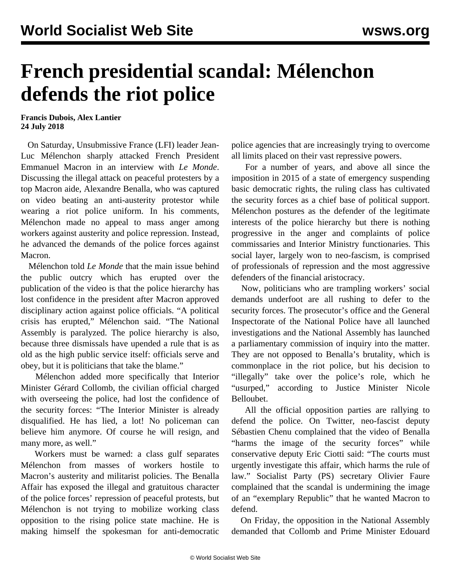## **French presidential scandal: Mélenchon defends the riot police**

**Francis Dubois, Alex Lantier 24 July 2018**

 On Saturday, Unsubmissive France (LFI) leader Jean-Luc Mélenchon sharply attacked French President Emmanuel Macron in an interview with *Le Monde*. Discussing the illegal attack on peaceful protesters by a top Macron aide, Alexandre Benalla, who was captured on video beating an anti-austerity protestor while wearing a riot police uniform. In his comments, Mélenchon made no appeal to mass anger among workers against austerity and police repression. Instead, he advanced the demands of the police forces against Macron.

 Mélenchon told *Le Monde* that the main issue behind the public outcry which has erupted over the publication of the video is that the police hierarchy has lost confidence in the president after Macron approved disciplinary action against police officials. "A political crisis has erupted," Mélenchon said. "The National Assembly is paralyzed. The police hierarchy is also, because three dismissals have upended a rule that is as old as the high public service itself: officials serve and obey, but it is politicians that take the blame."

 Mélenchon added more specifically that Interior Minister Gérard Collomb, the civilian official charged with overseeing the police, had lost the confidence of the security forces: "The Interior Minister is already disqualified. He has lied, a lot! No policeman can believe him anymore. Of course he will resign, and many more, as well."

 Workers must be warned: a class gulf separates Mélenchon from masses of workers hostile to Macron's austerity and militarist policies. The Benalla Affair has exposed the illegal and gratuitous character of the police forces' repression of peaceful protests, but Mélenchon is not trying to mobilize working class opposition to the rising police state machine. He is making himself the spokesman for anti-democratic

police agencies that are increasingly trying to overcome all limits placed on their vast repressive powers.

 For a number of years, and above all since the imposition in 2015 of a state of emergency suspending basic democratic rights, the ruling class has cultivated the security forces as a chief base of political support. Mélenchon postures as the defender of the legitimate interests of the police hierarchy but there is nothing progressive in the anger and complaints of police commissaries and Interior Ministry functionaries. This social layer, largely won to neo-fascism, is comprised of professionals of repression and the most aggressive defenders of the financial aristocracy.

 Now, politicians who are trampling workers' social demands underfoot are all rushing to defer to the security forces. The prosecutor's office and the General Inspectorate of the National Police have all launched investigations and the National Assembly has launched a parliamentary commission of inquiry into the matter. They are not opposed to Benalla's brutality, which is commonplace in the riot police, but his decision to "illegally" take over the police's role, which he "usurped," according to Justice Minister Nicole Belloubet.

 All the official opposition parties are rallying to defend the police. On Twitter, neo-fascist deputy Sébastien Chenu complained that the video of Benalla "harms the image of the security forces" while conservative deputy Eric Ciotti said: "The courts must urgently investigate this affair, which harms the rule of law." Socialist Party (PS) secretary Olivier Faure complained that the scandal is undermining the image of an "exemplary Republic" that he wanted Macron to defend.

 On Friday, the opposition in the National Assembly demanded that Collomb and Prime Minister Edouard